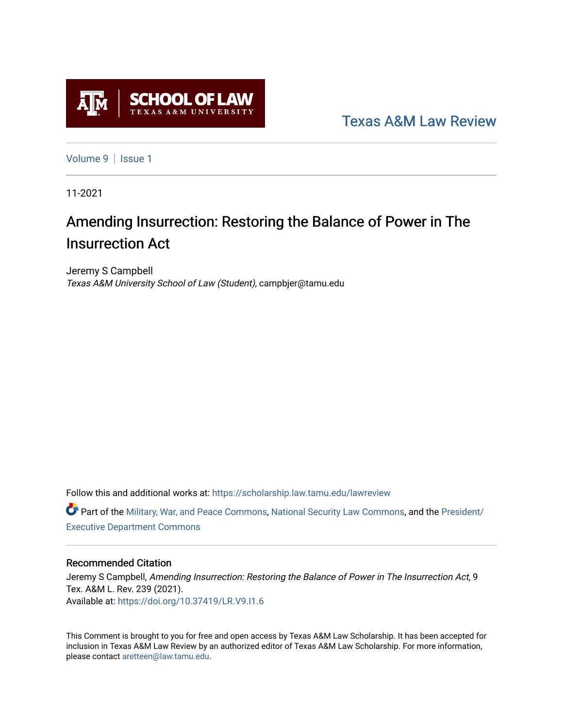

[Texas A&M Law Review](https://scholarship.law.tamu.edu/lawreview) 

[Volume 9](https://scholarship.law.tamu.edu/lawreview/vol9) | Issue 1

11-2021

# Amending Insurrection: Restoring the Balance of Power in The Insurrection Act

Jeremy S Campbell Texas A&M University School of Law (Student), campbjer@tamu.edu

Follow this and additional works at: [https://scholarship.law.tamu.edu/lawreview](https://scholarship.law.tamu.edu/lawreview?utm_source=scholarship.law.tamu.edu%2Flawreview%2Fvol9%2Fiss1%2F9&utm_medium=PDF&utm_campaign=PDFCoverPages)

Part of the [Military, War, and Peace Commons,](http://network.bepress.com/hgg/discipline/861?utm_source=scholarship.law.tamu.edu%2Flawreview%2Fvol9%2Fiss1%2F9&utm_medium=PDF&utm_campaign=PDFCoverPages) [National Security Law Commons](http://network.bepress.com/hgg/discipline/1114?utm_source=scholarship.law.tamu.edu%2Flawreview%2Fvol9%2Fiss1%2F9&utm_medium=PDF&utm_campaign=PDFCoverPages), and the [President/](http://network.bepress.com/hgg/discipline/1118?utm_source=scholarship.law.tamu.edu%2Flawreview%2Fvol9%2Fiss1%2F9&utm_medium=PDF&utm_campaign=PDFCoverPages) [Executive Department Commons](http://network.bepress.com/hgg/discipline/1118?utm_source=scholarship.law.tamu.edu%2Flawreview%2Fvol9%2Fiss1%2F9&utm_medium=PDF&utm_campaign=PDFCoverPages) 

# Recommended Citation

Jeremy S Campbell, Amending Insurrection: Restoring the Balance of Power in The Insurrection Act, 9 Tex. A&M L. Rev. 239 (2021). Available at:<https://doi.org/10.37419/LR.V9.I1.6>

This Comment is brought to you for free and open access by Texas A&M Law Scholarship. It has been accepted for inclusion in Texas A&M Law Review by an authorized editor of Texas A&M Law Scholarship. For more information, please contact [aretteen@law.tamu.edu.](mailto:aretteen@law.tamu.edu)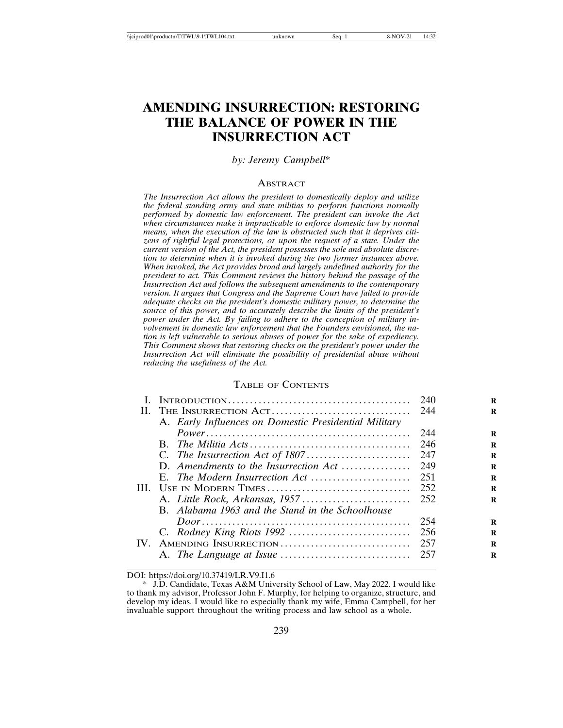# **AMENDING INSURRECTION: RESTORING THE BALANCE OF POWER IN THE INSURRECTION ACT**

*by: Jeremy Campbell*\*

#### **ABSTRACT**

*The Insurrection Act allows the president to domestically deploy and utilize the federal standing army and state militias to perform functions normally performed by domestic law enforcement. The president can invoke the Act when circumstances make it impracticable to enforce domestic law by normal means, when the execution of the law is obstructed such that it deprives citizens of rightful legal protections, or upon the request of a state. Under the current version of the Act, the president possesses the sole and absolute discretion to determine when it is invoked during the two former instances above. When invoked, the Act provides broad and largely undefined authority for the president to act. This Comment reviews the history behind the passage of the Insurrection Act and follows the subsequent amendments to the contemporary version. It argues that Congress and the Supreme Court have failed to provide adequate checks on the president's domestic military power, to determine the source of this power, and to accurately describe the limits of the president's power under the Act. By failing to adhere to the conception of military involvement in domestic law enforcement that the Founders envisioned, the nation is left vulnerable to serious abuses of power for the sake of expediency. This Comment shows that restoring checks on the president's power under the Insurrection Act will eliminate the possibility of presidential abuse without reducing the usefulness of the Act.*

# TABLE OF CONTENTS

|                                                       | 240 |
|-------------------------------------------------------|-----|
|                                                       |     |
| A. Early Influences on Domestic Presidential Military |     |
|                                                       | 244 |
|                                                       | 246 |
|                                                       |     |
|                                                       |     |
|                                                       |     |
|                                                       |     |
|                                                       |     |
| B. Alabama 1963 and the Stand in the Schoolhouse      |     |
|                                                       | 254 |
|                                                       |     |
| IV. AMENDING INSURRECTION                             | 257 |
|                                                       |     |
|                                                       |     |

DOI: https://doi.org/10.37419/LR.V9.I1.6

<sup>\*</sup> J.D. Candidate, Texas A&M University School of Law, May 2022. I would like to thank my advisor, Professor John F. Murphy, for helping to organize, structure, and develop my ideas. I would like to especially thank my wife, Emma Campbell, for her invaluable support throughout the writing process and law school as a whole.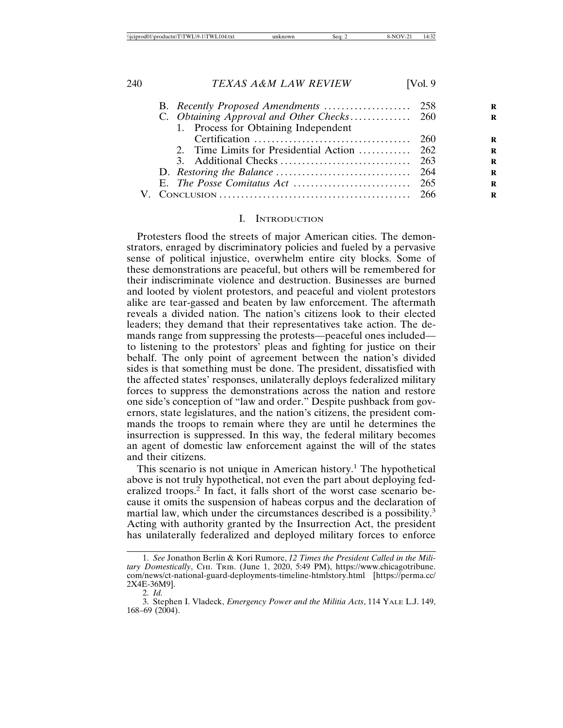|  | 1. Process for Obtaining Independent |  |
|--|--------------------------------------|--|
|  |                                      |  |
|  |                                      |  |
|  |                                      |  |
|  |                                      |  |
|  |                                      |  |
|  |                                      |  |
|  |                                      |  |

#### I. INTRODUCTION

Protesters flood the streets of major American cities. The demonstrators, enraged by discriminatory policies and fueled by a pervasive sense of political injustice, overwhelm entire city blocks. Some of these demonstrations are peaceful, but others will be remembered for their indiscriminate violence and destruction. Businesses are burned and looted by violent protestors, and peaceful and violent protestors alike are tear-gassed and beaten by law enforcement. The aftermath reveals a divided nation. The nation's citizens look to their elected leaders; they demand that their representatives take action. The demands range from suppressing the protests—peaceful ones included to listening to the protestors' pleas and fighting for justice on their behalf. The only point of agreement between the nation's divided sides is that something must be done. The president, dissatisfied with the affected states' responses, unilaterally deploys federalized military forces to suppress the demonstrations across the nation and restore one side's conception of "law and order." Despite pushback from governors, state legislatures, and the nation's citizens, the president commands the troops to remain where they are until he determines the insurrection is suppressed. In this way, the federal military becomes an agent of domestic law enforcement against the will of the states and their citizens.

This scenario is not unique in American history.<sup>1</sup> The hypothetical above is not truly hypothetical, not even the part about deploying federalized troops.<sup>2</sup> In fact, it falls short of the worst case scenario because it omits the suspension of habeas corpus and the declaration of martial law, which under the circumstances described is a possibility.<sup>3</sup> Acting with authority granted by the Insurrection Act, the president has unilaterally federalized and deployed military forces to enforce

<sup>1.</sup> *See* Jonathon Berlin & Kori Rumore, *12 Times the President Called in the Military Domestically*, CHI. TRIB. (June 1, 2020, 5:49 PM), https://www.chicagotribune. com/news/ct-national-guard-deployments-timeline-htmlstory.html [https://perma.cc/ 2X4E-36M9].

<sup>2.</sup> *Id.*

<sup>3.</sup> Stephen I. Vladeck, *Emergency Power and the Militia Acts*, 114 YALE L.J. 149, 168–69 (2004).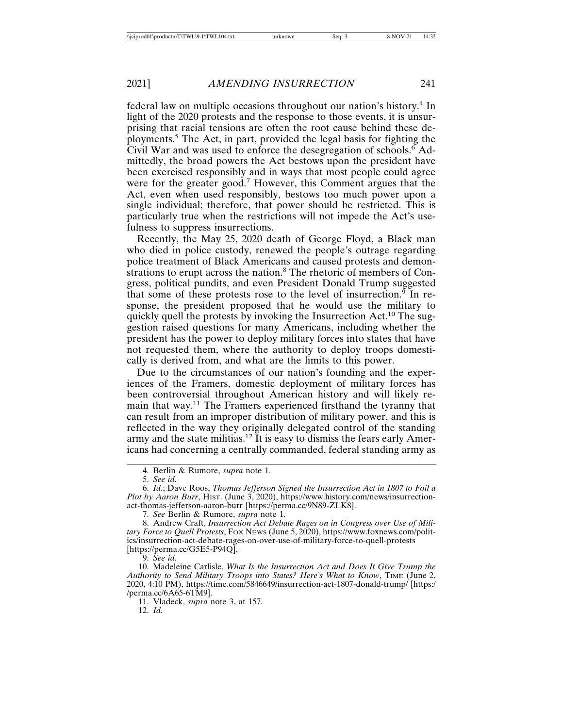federal law on multiple occasions throughout our nation's history.<sup>4</sup> In light of the 2020 protests and the response to those events, it is unsurprising that racial tensions are often the root cause behind these deployments.<sup>5</sup> The Act, in part, provided the legal basis for fighting the Civil War and was used to enforce the desegregation of schools.<sup>6</sup> Admittedly, the broad powers the Act bestows upon the president have been exercised responsibly and in ways that most people could agree were for the greater good.<sup>7</sup> However, this Comment argues that the Act, even when used responsibly, bestows too much power upon a single individual; therefore, that power should be restricted. This is particularly true when the restrictions will not impede the Act's usefulness to suppress insurrections.

Recently, the May 25, 2020 death of George Floyd, a Black man who died in police custody, renewed the people's outrage regarding police treatment of Black Americans and caused protests and demonstrations to erupt across the nation.<sup>8</sup> The rhetoric of members of Congress, political pundits, and even President Donald Trump suggested that some of these protests rose to the level of insurrection.<sup> $\overline{9}$ </sup> In response, the president proposed that he would use the military to quickly quell the protests by invoking the Insurrection Act.<sup>10</sup> The suggestion raised questions for many Americans, including whether the president has the power to deploy military forces into states that have not requested them, where the authority to deploy troops domestically is derived from, and what are the limits to this power.

Due to the circumstances of our nation's founding and the experiences of the Framers, domestic deployment of military forces has been controversial throughout American history and will likely remain that way.<sup>11</sup> The Framers experienced firsthand the tyranny that can result from an improper distribution of military power, and this is reflected in the way they originally delegated control of the standing army and the state militias.12 It is easy to dismiss the fears early Americans had concerning a centrally commanded, federal standing army as

7. *See* Berlin & Rumore, *supra* note 1.

8. Andrew Craft, *Insurrection Act Debate Rages on in Congress over Use of Military Force to Quell Protests*, FOX NEWS (June 5, 2020), https://www.foxnews.com/politics/insurrection-act-debate-rages-on-over-use-of-military-force-to-quell-protests [https://perma.cc/G5E5-P94Q].

9. *See id.*

12. *Id.*

<sup>4.</sup> Berlin & Rumore, *supra* note 1.

<sup>5.</sup> *See id.*

<sup>6.</sup> *Id.*; Dave Roos, *Thomas Jefferson Signed the Insurrection Act in 1807 to Foil a Plot by Aaron Burr*, HIST. (June 3, 2020), https://www.history.com/news/insurrectionact-thomas-jefferson-aaron-burr [https://perma.cc/9N89-ZLK8].

<sup>10.</sup> Madeleine Carlisle, *What Is the Insurrection Act and Does It Give Trump the Authority to Send Military Troops into States? Here's What to Know*, TIME (June 2, 2020, 4:10 PM), https://time.com/5846649/insurrection-act-1807-donald-trump/ [https:/ /perma.cc/6A65-6TM9].

<sup>11.</sup> Vladeck, *supra* note 3, at 157.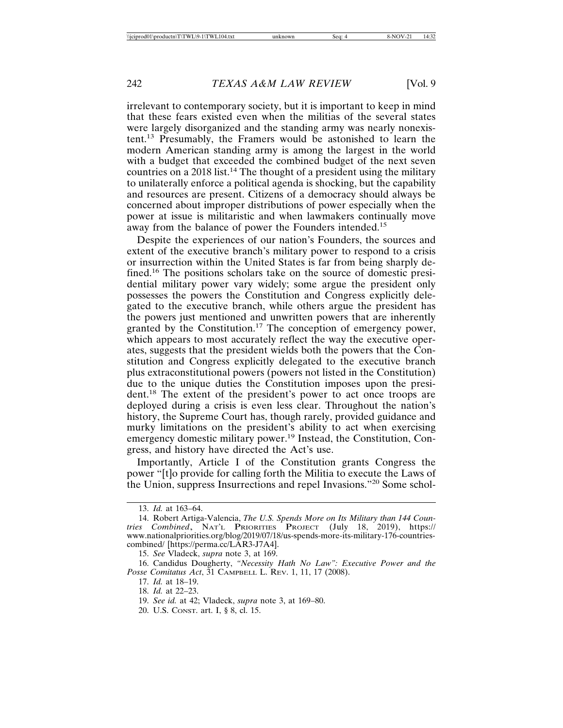irrelevant to contemporary society, but it is important to keep in mind that these fears existed even when the militias of the several states were largely disorganized and the standing army was nearly nonexistent.13 Presumably, the Framers would be astonished to learn the modern American standing army is among the largest in the world with a budget that exceeded the combined budget of the next seven countries on a 2018 list.<sup>14</sup> The thought of a president using the military to unilaterally enforce a political agenda is shocking, but the capability and resources are present. Citizens of a democracy should always be concerned about improper distributions of power especially when the power at issue is militaristic and when lawmakers continually move away from the balance of power the Founders intended.<sup>15</sup>

Despite the experiences of our nation's Founders, the sources and extent of the executive branch's military power to respond to a crisis or insurrection within the United States is far from being sharply defined.16 The positions scholars take on the source of domestic presidential military power vary widely; some argue the president only possesses the powers the Constitution and Congress explicitly delegated to the executive branch, while others argue the president has the powers just mentioned and unwritten powers that are inherently granted by the Constitution.<sup>17</sup> The conception of emergency power, which appears to most accurately reflect the way the executive operates, suggests that the president wields both the powers that the Constitution and Congress explicitly delegated to the executive branch plus extraconstitutional powers (powers not listed in the Constitution) due to the unique duties the Constitution imposes upon the president.18 The extent of the president's power to act once troops are deployed during a crisis is even less clear. Throughout the nation's history, the Supreme Court has, though rarely, provided guidance and murky limitations on the president's ability to act when exercising emergency domestic military power.<sup>19</sup> Instead, the Constitution, Congress, and history have directed the Act's use.

Importantly, Article I of the Constitution grants Congress the power "[t]o provide for calling forth the Militia to execute the Laws of the Union, suppress Insurrections and repel Invasions."20 Some schol-

20. U.S. CONST. art. I, § 8, cl. 15.

<sup>13.</sup> *Id.* at 163–64.

<sup>14.</sup> Robert Artiga-Valencia, *The U.S. Spends More on Its Military than 144 Coun-tries Combined*, NAT'L PRIORITIES PROJECT (July 18, 2019), https:// www.nationalpriorities.org/blog/2019/07/18/us-spends-more-its-military-176-countriescombined/ [https://perma.cc/LAR3-J7A4].

<sup>15.</sup> *See* Vladeck, *supra* note 3, at 169.

<sup>16.</sup> Candidus Dougherty, *"Necessity Hath No Law": Executive Power and the Posse Comitatus Act*, 31 CAMPBELL L. REV. 1, 11, 17 (2008).

<sup>17.</sup> *Id.* at 18–19.

<sup>18.</sup> *Id.* at 22–23.

<sup>19.</sup> *See id.* at 42; Vladeck, *supra* note 3, at 169–80.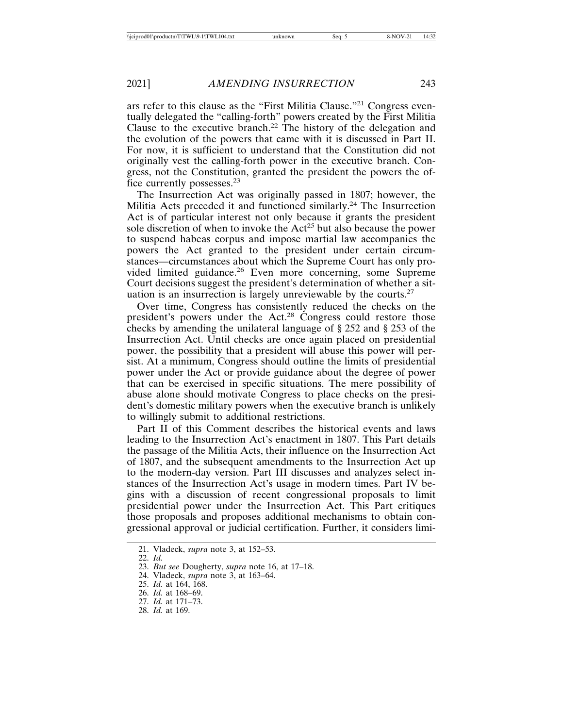ars refer to this clause as the "First Militia Clause."21 Congress eventually delegated the "calling-forth" powers created by the First Militia Clause to the executive branch.<sup>22</sup> The history of the delegation and the evolution of the powers that came with it is discussed in Part II. For now, it is sufficient to understand that the Constitution did not originally vest the calling-forth power in the executive branch. Congress, not the Constitution, granted the president the powers the office currently possesses.<sup>23</sup>

The Insurrection Act was originally passed in 1807; however, the Militia Acts preceded it and functioned similarly.<sup>24</sup> The Insurrection Act is of particular interest not only because it grants the president sole discretion of when to invoke the  $Act^{25}$  but also because the power to suspend habeas corpus and impose martial law accompanies the powers the Act granted to the president under certain circumstances—circumstances about which the Supreme Court has only provided limited guidance.26 Even more concerning, some Supreme Court decisions suggest the president's determination of whether a situation is an insurrection is largely unreviewable by the courts.<sup>27</sup>

Over time, Congress has consistently reduced the checks on the president's powers under the Act.28 Congress could restore those checks by amending the unilateral language of § 252 and § 253 of the Insurrection Act. Until checks are once again placed on presidential power, the possibility that a president will abuse this power will persist. At a minimum, Congress should outline the limits of presidential power under the Act or provide guidance about the degree of power that can be exercised in specific situations. The mere possibility of abuse alone should motivate Congress to place checks on the president's domestic military powers when the executive branch is unlikely to willingly submit to additional restrictions.

Part II of this Comment describes the historical events and laws leading to the Insurrection Act's enactment in 1807. This Part details the passage of the Militia Acts, their influence on the Insurrection Act of 1807, and the subsequent amendments to the Insurrection Act up to the modern-day version. Part III discusses and analyzes select instances of the Insurrection Act's usage in modern times. Part IV begins with a discussion of recent congressional proposals to limit presidential power under the Insurrection Act. This Part critiques those proposals and proposes additional mechanisms to obtain congressional approval or judicial certification. Further, it considers limi-

- 27. *Id.* at 171–73.
- 28. *Id.* at 169.

<sup>21.</sup> Vladeck, *supra* note 3, at 152–53.

<sup>22.</sup> *Id.*

<sup>23.</sup> *But see* Dougherty, *supra* note 16, at 17–18.

<sup>24.</sup> Vladeck, *supra* note 3, at 163–64.

<sup>25.</sup> *Id.* at 164, 168.

<sup>26.</sup> *Id.* at 168–69.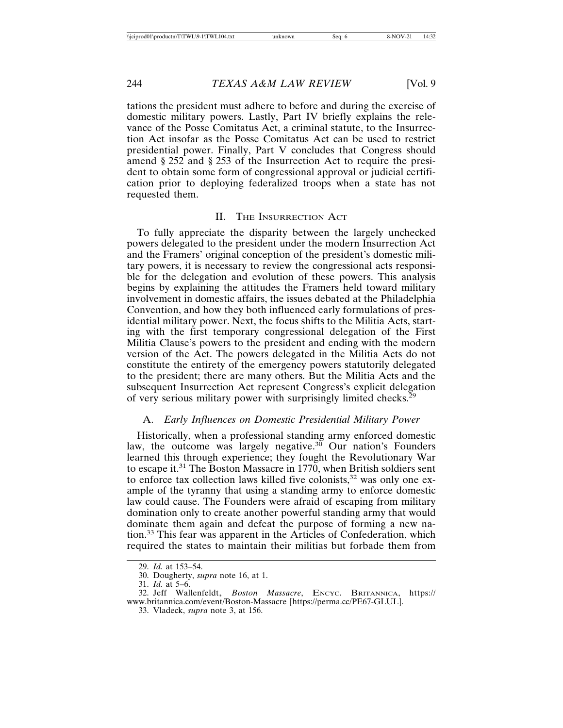tations the president must adhere to before and during the exercise of domestic military powers. Lastly, Part IV briefly explains the relevance of the Posse Comitatus Act, a criminal statute, to the Insurrection Act insofar as the Posse Comitatus Act can be used to restrict presidential power. Finally, Part V concludes that Congress should amend § 252 and § 253 of the Insurrection Act to require the president to obtain some form of congressional approval or judicial certification prior to deploying federalized troops when a state has not requested them.

# II. THE INSURRECTION ACT

To fully appreciate the disparity between the largely unchecked powers delegated to the president under the modern Insurrection Act and the Framers' original conception of the president's domestic military powers, it is necessary to review the congressional acts responsible for the delegation and evolution of these powers. This analysis begins by explaining the attitudes the Framers held toward military involvement in domestic affairs, the issues debated at the Philadelphia Convention, and how they both influenced early formulations of presidential military power. Next, the focus shifts to the Militia Acts, starting with the first temporary congressional delegation of the First Militia Clause's powers to the president and ending with the modern version of the Act. The powers delegated in the Militia Acts do not constitute the entirety of the emergency powers statutorily delegated to the president; there are many others. But the Militia Acts and the subsequent Insurrection Act represent Congress's explicit delegation of very serious military power with surprisingly limited checks.<sup>29</sup>

# A. *Early Influences on Domestic Presidential Military Power*

Historically, when a professional standing army enforced domestic law, the outcome was largely negative.<sup>30</sup> Our nation's Founders learned this through experience; they fought the Revolutionary War to escape it.31 The Boston Massacre in 1770, when British soldiers sent to enforce tax collection laws killed five colonists,<sup>32</sup> was only one example of the tyranny that using a standing army to enforce domestic law could cause. The Founders were afraid of escaping from military domination only to create another powerful standing army that would dominate them again and defeat the purpose of forming a new nation.33 This fear was apparent in the Articles of Confederation, which required the states to maintain their militias but forbade them from

<sup>29.</sup> *Id.* at 153–54.

<sup>30.</sup> Dougherty, *supra* note 16, at 1.

<sup>31.</sup> *Id.* at 5–6.

<sup>32.</sup> Jeff Wallenfeldt, *Boston Massacre*, ENCYC. BRITANNICA, https:// www.britannica.com/event/Boston-Massacre [https://perma.cc/PE67-GLUL].

<sup>33.</sup> Vladeck, *supra* note 3, at 156.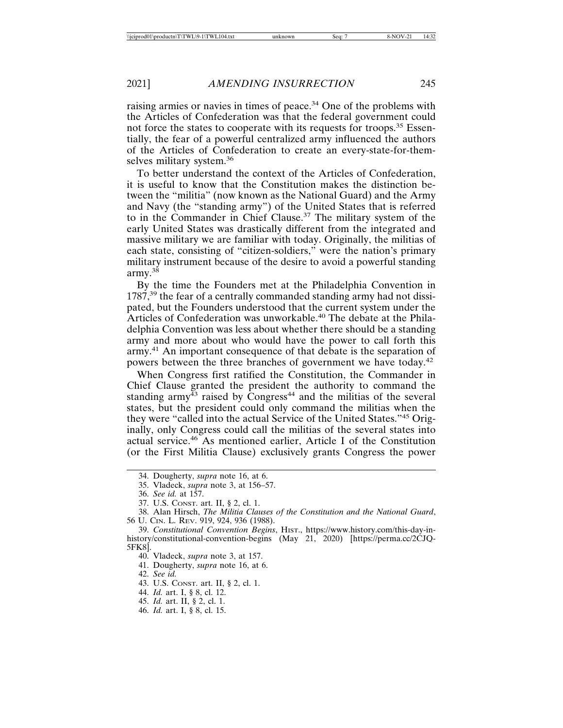raising armies or navies in times of peace.<sup>34</sup> One of the problems with the Articles of Confederation was that the federal government could not force the states to cooperate with its requests for troops.<sup>35</sup> Essentially, the fear of a powerful centralized army influenced the authors of the Articles of Confederation to create an every-state-for-themselves military system.<sup>36</sup>

To better understand the context of the Articles of Confederation, it is useful to know that the Constitution makes the distinction between the "militia" (now known as the National Guard) and the Army and Navy (the "standing army") of the United States that is referred to in the Commander in Chief Clause.37 The military system of the early United States was drastically different from the integrated and massive military we are familiar with today. Originally, the militias of each state, consisting of "citizen-soldiers," were the nation's primary military instrument because of the desire to avoid a powerful standing army.38

By the time the Founders met at the Philadelphia Convention in 1787,<sup>39</sup> the fear of a centrally commanded standing army had not dissipated, but the Founders understood that the current system under the Articles of Confederation was unworkable.40 The debate at the Philadelphia Convention was less about whether there should be a standing army and more about who would have the power to call forth this army.41 An important consequence of that debate is the separation of powers between the three branches of government we have today.<sup>42</sup>

When Congress first ratified the Constitution, the Commander in Chief Clause granted the president the authority to command the standing army<sup> $\frac{3}{43}$ </sup> raised by Congress<sup>44</sup> and the militias of the several states, but the president could only command the militias when the they were "called into the actual Service of the United States."45 Originally, only Congress could call the militias of the several states into actual service.46 As mentioned earlier, Article I of the Constitution (or the First Militia Clause) exclusively grants Congress the power

41. Dougherty, *supra* note 16, at 6.

- 44. *Id.* art. I, § 8, cl. 12.
- 45. *Id.* art. II, § 2, cl. 1.
- 46. *Id.* art. I, § 8, cl. 15.

<sup>34.</sup> Dougherty, *supra* note 16, at 6.

<sup>35.</sup> Vladeck, *supra* note 3, at 156–57.

<sup>36.</sup> *See id.* at 157.

<sup>37.</sup> U.S. CONST. art. II, § 2, cl. 1.

<sup>38.</sup> Alan Hirsch, *The Militia Clauses of the Constitution and the National Guard*, 56 U. CIN. L. REV. 919, 924, 936 (1988).

<sup>39.</sup> *Constitutional Convention Begins*, HIST., https://www.history.com/this-day-inhistory/constitutional-convention-begins (May 21, 2020) [https://perma.cc/2CJQ-5FK8].

<sup>40.</sup> Vladeck, *supra* note 3, at 157.

<sup>42.</sup> *See id.*

<sup>43.</sup> U.S. CONST. art. II, § 2, cl. 1.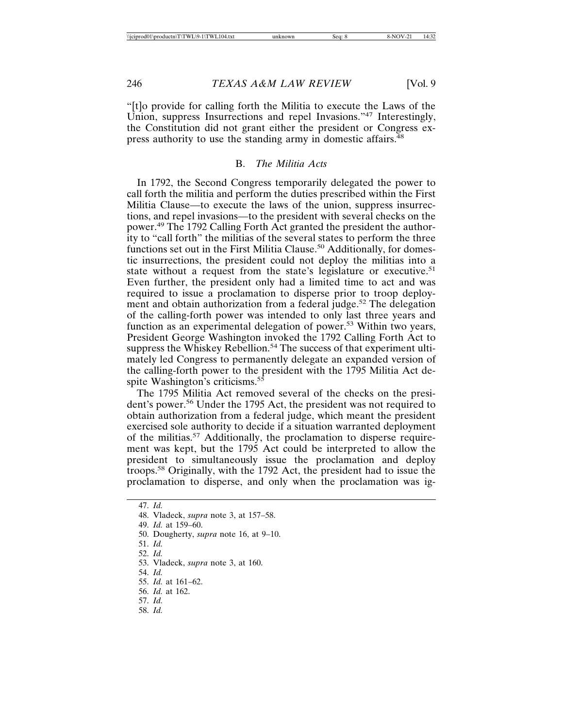"[t]o provide for calling forth the Militia to execute the Laws of the Union, suppress Insurrections and repel Invasions."<sup>47</sup> Interestingly, the Constitution did not grant either the president or Congress express authority to use the standing army in domestic affairs.<sup>48</sup>

#### B. *The Militia Acts*

In 1792, the Second Congress temporarily delegated the power to call forth the militia and perform the duties prescribed within the First Militia Clause—to execute the laws of the union, suppress insurrections, and repel invasions—to the president with several checks on the power.49 The 1792 Calling Forth Act granted the president the authority to "call forth" the militias of the several states to perform the three functions set out in the First Militia Clause.<sup>50</sup> Additionally, for domestic insurrections, the president could not deploy the militias into a state without a request from the state's legislature or executive.<sup>51</sup> Even further, the president only had a limited time to act and was required to issue a proclamation to disperse prior to troop deployment and obtain authorization from a federal judge.<sup>52</sup> The delegation of the calling-forth power was intended to only last three years and function as an experimental delegation of power.53 Within two years, President George Washington invoked the 1792 Calling Forth Act to suppress the Whiskey Rebellion.<sup>54</sup> The success of that experiment ultimately led Congress to permanently delegate an expanded version of the calling-forth power to the president with the 1795 Militia Act despite Washington's criticisms.<sup>55</sup>

The 1795 Militia Act removed several of the checks on the president's power.<sup>56</sup> Under the 1795 Act, the president was not required to obtain authorization from a federal judge, which meant the president exercised sole authority to decide if a situation warranted deployment of the militias.<sup>57</sup> Additionally, the proclamation to disperse requirement was kept, but the 1795 Act could be interpreted to allow the president to simultaneously issue the proclamation and deploy troops.58 Originally, with the 1792 Act, the president had to issue the proclamation to disperse, and only when the proclamation was ig-

- 52. *Id.*
- 53. Vladeck, *supra* note 3, at 160.
- 54. *Id.*
- 55. *Id.* at 161–62.
- 56. *Id.* at 162.
- 57. *Id.*
- 58. *Id.*

<sup>47.</sup> *Id.*

<sup>48.</sup> Vladeck, *supra* note 3, at 157–58.

<sup>49.</sup> *Id.* at 159–60.

<sup>50.</sup> Dougherty, *supra* note 16, at 9–10.

<sup>51.</sup> *Id.*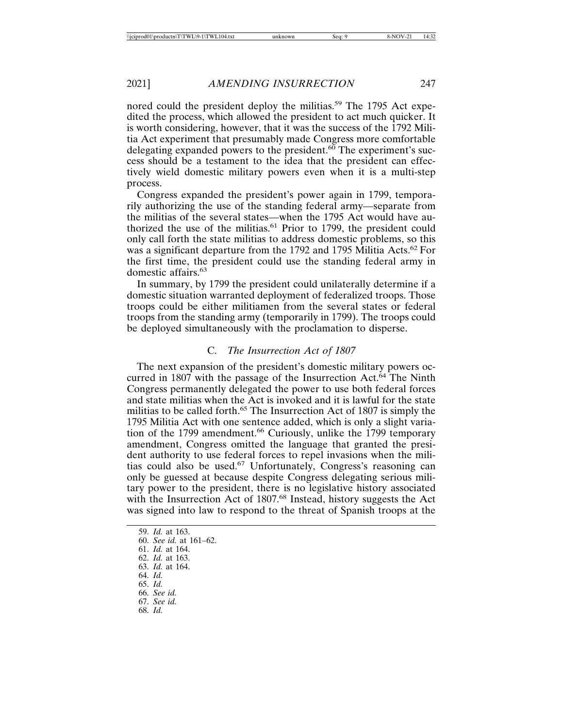nored could the president deploy the militias.<sup>59</sup> The 1795 Act expedited the process, which allowed the president to act much quicker. It is worth considering, however, that it was the success of the 1792 Militia Act experiment that presumably made Congress more comfortable delegating expanded powers to the president.<sup>60</sup> The experiment's success should be a testament to the idea that the president can effectively wield domestic military powers even when it is a multi-step process.

Congress expanded the president's power again in 1799, temporarily authorizing the use of the standing federal army—separate from the militias of the several states—when the 1795 Act would have authorized the use of the militias. $61$  Prior to 1799, the president could only call forth the state militias to address domestic problems, so this was a significant departure from the 1792 and 1795 Militia Acts.<sup>62</sup> For the first time, the president could use the standing federal army in domestic affairs.<sup>63</sup>

In summary, by 1799 the president could unilaterally determine if a domestic situation warranted deployment of federalized troops. Those troops could be either militiamen from the several states or federal troops from the standing army (temporarily in 1799). The troops could be deployed simultaneously with the proclamation to disperse.

# C. *The Insurrection Act of 1807*

The next expansion of the president's domestic military powers occurred in 1807 with the passage of the Insurrection Act.<sup>64</sup> The Ninth Congress permanently delegated the power to use both federal forces and state militias when the Act is invoked and it is lawful for the state militias to be called forth.<sup>65</sup> The Insurrection Act of 1807 is simply the 1795 Militia Act with one sentence added, which is only a slight variation of the 1799 amendment.<sup>66</sup> Curiously, unlike the 1799 temporary amendment, Congress omitted the language that granted the president authority to use federal forces to repel invasions when the militias could also be used.67 Unfortunately, Congress's reasoning can only be guessed at because despite Congress delegating serious military power to the president, there is no legislative history associated with the Insurrection Act of 1807.<sup>68</sup> Instead, history suggests the Act was signed into law to respond to the threat of Spanish troops at the

59. *Id.* at 163. 60. *See id.* at 161–62.

61. *Id.* at 164.

62. *Id.* at 163.

63. *Id.* at 164.

64. *Id.*

65. *Id.*

66. *See id.*

67. *See id.*

68. *Id.*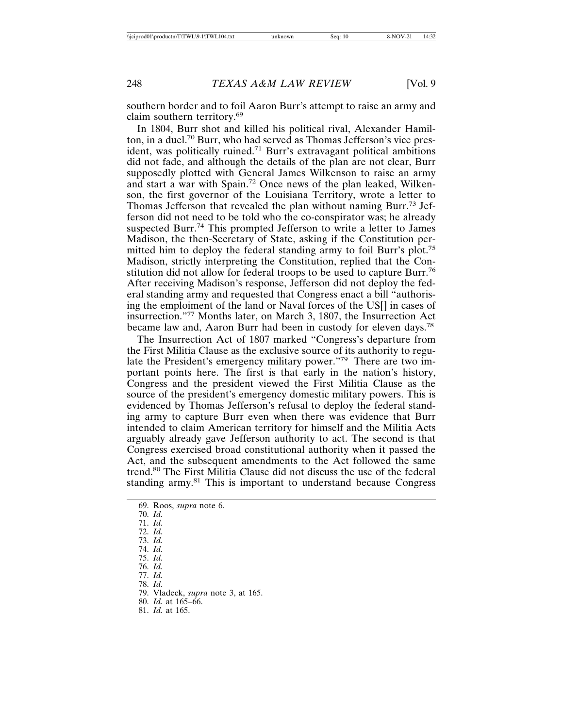southern border and to foil Aaron Burr's attempt to raise an army and claim southern territory.<sup>69</sup>

In 1804, Burr shot and killed his political rival, Alexander Hamilton, in a duel.70 Burr, who had served as Thomas Jefferson's vice president, was politically ruined.<sup>71</sup> Burr's extravagant political ambitions did not fade, and although the details of the plan are not clear, Burr supposedly plotted with General James Wilkenson to raise an army and start a war with Spain.72 Once news of the plan leaked, Wilkenson, the first governor of the Louisiana Territory, wrote a letter to Thomas Jefferson that revealed the plan without naming Burr.<sup>73</sup> Jefferson did not need to be told who the co-conspirator was; he already suspected Burr.<sup>74</sup> This prompted Jefferson to write a letter to James Madison, the then-Secretary of State, asking if the Constitution permitted him to deploy the federal standing army to foil Burr's plot.<sup>75</sup> Madison, strictly interpreting the Constitution, replied that the Constitution did not allow for federal troops to be used to capture Burr.<sup>76</sup> After receiving Madison's response, Jefferson did not deploy the federal standing army and requested that Congress enact a bill "authorising the emploiment of the land or Naval forces of the US[] in cases of insurrection."77 Months later, on March 3, 1807, the Insurrection Act became law and, Aaron Burr had been in custody for eleven days.78

The Insurrection Act of 1807 marked "Congress's departure from the First Militia Clause as the exclusive source of its authority to regulate the President's emergency military power."79 There are two important points here. The first is that early in the nation's history, Congress and the president viewed the First Militia Clause as the source of the president's emergency domestic military powers. This is evidenced by Thomas Jefferson's refusal to deploy the federal standing army to capture Burr even when there was evidence that Burr intended to claim American territory for himself and the Militia Acts arguably already gave Jefferson authority to act. The second is that Congress exercised broad constitutional authority when it passed the Act, and the subsequent amendments to the Act followed the same trend.80 The First Militia Clause did not discuss the use of the federal standing army.<sup>81</sup> This is important to understand because Congress

69. Roos, *supra* note 6. 70. *Id.* 71. *Id.* 72. *Id.* 73. *Id.* 74. *Id.* 75. *Id.* 76. *Id.* 77. *Id.* 78. *Id.* 79. Vladeck, *supra* note 3, at 165. 80. *Id.* at 165–66. 81. *Id.* at 165.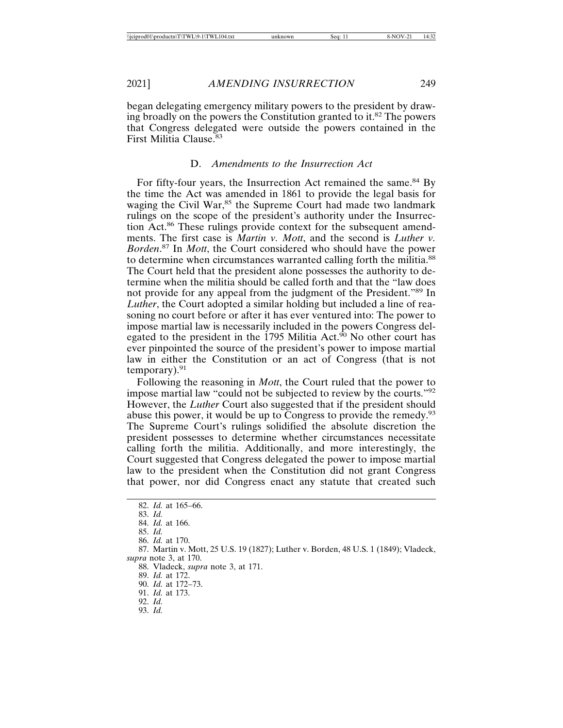began delegating emergency military powers to the president by drawing broadly on the powers the Constitution granted to it.<sup>82</sup> The powers that Congress delegated were outside the powers contained in the First Militia Clause.<sup>83</sup>

# D. *Amendments to the Insurrection Act*

For fifty-four years, the Insurrection Act remained the same.<sup>84</sup> By the time the Act was amended in 1861 to provide the legal basis for waging the Civil War,<sup>85</sup> the Supreme Court had made two landmark rulings on the scope of the president's authority under the Insurrection Act.86 These rulings provide context for the subsequent amendments. The first case is *Martin v. Mott*, and the second is *Luther v. Borden*. 87 In *Mott*, the Court considered who should have the power to determine when circumstances warranted calling forth the militia.<sup>88</sup> The Court held that the president alone possesses the authority to determine when the militia should be called forth and that the "law does not provide for any appeal from the judgment of the President."89 In *Luther*, the Court adopted a similar holding but included a line of reasoning no court before or after it has ever ventured into: The power to impose martial law is necessarily included in the powers Congress delegated to the president in the  $1795$  Militia Act.<sup>90</sup> No other court has ever pinpointed the source of the president's power to impose martial law in either the Constitution or an act of Congress (that is not temporary). $91$ 

Following the reasoning in *Mott*, the Court ruled that the power to impose martial law "could not be subjected to review by the courts."92 However, the *Luther* Court also suggested that if the president should abuse this power, it would be up to Congress to provide the remedy.<sup>93</sup> The Supreme Court's rulings solidified the absolute discretion the president possesses to determine whether circumstances necessitate calling forth the militia. Additionally, and more interestingly, the Court suggested that Congress delegated the power to impose martial law to the president when the Constitution did not grant Congress that power, nor did Congress enact any statute that created such

86. *Id.* at 170.

87. Martin v. Mott, 25 U.S. 19 (1827); Luther v. Borden, 48 U.S. 1 (1849); Vladeck, *supra* note 3, at 170.

88. Vladeck, *supra* note 3, at 171.

- 91. *Id.* at 173.
- 92. *Id.* 93. *Id.*

<sup>82.</sup> *Id.* at 165–66.

<sup>83.</sup> *Id.*

<sup>84.</sup> *Id.* at 166.

<sup>85.</sup> *Id.*

<sup>89.</sup> *Id.* at 172.

<sup>90.</sup> *Id.* at 172–73.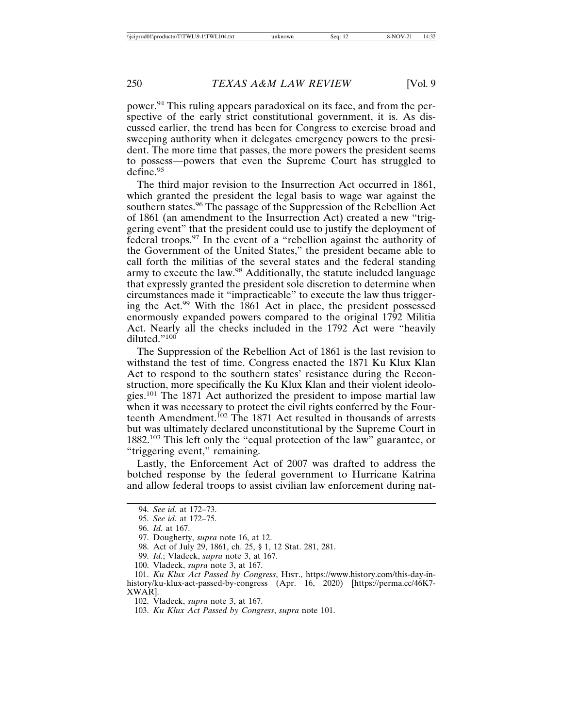power.94 This ruling appears paradoxical on its face, and from the perspective of the early strict constitutional government, it is. As discussed earlier, the trend has been for Congress to exercise broad and sweeping authority when it delegates emergency powers to the president. The more time that passes, the more powers the president seems to possess—powers that even the Supreme Court has struggled to define.95

The third major revision to the Insurrection Act occurred in 1861, which granted the president the legal basis to wage war against the southern states.<sup>96</sup> The passage of the Suppression of the Rebellion Act of 1861 (an amendment to the Insurrection Act) created a new "triggering event" that the president could use to justify the deployment of federal troops.97 In the event of a "rebellion against the authority of the Government of the United States," the president became able to call forth the militias of the several states and the federal standing army to execute the law.<sup>98</sup> Additionally, the statute included language that expressly granted the president sole discretion to determine when circumstances made it "impracticable" to execute the law thus triggering the Act.99 With the 1861 Act in place, the president possessed enormously expanded powers compared to the original 1792 Militia Act. Nearly all the checks included in the 1792 Act were "heavily diluted."<sup>100</sup>

The Suppression of the Rebellion Act of 1861 is the last revision to withstand the test of time. Congress enacted the 1871 Ku Klux Klan Act to respond to the southern states' resistance during the Reconstruction, more specifically the Ku Klux Klan and their violent ideologies.<sup>101</sup> The 1871 Act authorized the president to impose martial law when it was necessary to protect the civil rights conferred by the Fourteenth Amendment.<sup>102</sup> The 1871 Act resulted in thousands of arrests but was ultimately declared unconstitutional by the Supreme Court in 1882.103 This left only the "equal protection of the law" guarantee, or "triggering event," remaining.

Lastly, the Enforcement Act of 2007 was drafted to address the botched response by the federal government to Hurricane Katrina and allow federal troops to assist civilian law enforcement during nat-

<sup>94.</sup> *See id.* at 172–73.

<sup>95.</sup> *See id.* at 172–75.

<sup>96.</sup> *Id.* at 167.

<sup>97.</sup> Dougherty, *supra* note 16, at 12.

<sup>98.</sup> Act of July 29, 1861, ch. 25, § 1, 12 Stat. 281, 281.

<sup>99.</sup> *Id.*; Vladeck, *supra* note 3, at 167.

<sup>100.</sup> Vladeck, *supra* note 3, at 167.

<sup>101.</sup> *Ku Klux Act Passed by Congress*, HIST., https://www.history.com/this-day-inhistory/ku-klux-act-passed-by-congress (Apr. 16, 2020) [https://perma.cc/46K7- XWAR].

<sup>102.</sup> Vladeck, *supra* note 3, at 167.

<sup>103.</sup> *Ku Klux Act Passed by Congress*, *supra* note 101.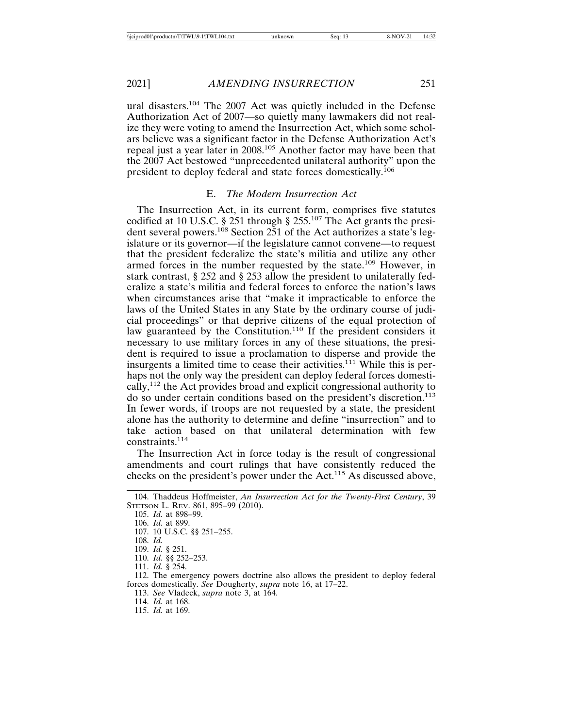ural disasters.104 The 2007 Act was quietly included in the Defense Authorization Act of 2007—so quietly many lawmakers did not realize they were voting to amend the Insurrection Act, which some scholars believe was a significant factor in the Defense Authorization Act's repeal just a year later in 2008.105 Another factor may have been that the 2007 Act bestowed "unprecedented unilateral authority" upon the president to deploy federal and state forces domestically.<sup>106</sup>

# E. *The Modern Insurrection Act*

The Insurrection Act, in its current form, comprises five statutes codified at 10 U.S.C. § 251 through § 255.107 The Act grants the president several powers.<sup>108</sup> Section 251 of the Act authorizes a state's legislature or its governor—if the legislature cannot convene—to request that the president federalize the state's militia and utilize any other armed forces in the number requested by the state.<sup>109</sup> However, in stark contrast, § 252 and § 253 allow the president to unilaterally federalize a state's militia and federal forces to enforce the nation's laws when circumstances arise that "make it impracticable to enforce the laws of the United States in any State by the ordinary course of judicial proceedings" or that deprive citizens of the equal protection of law guaranteed by the Constitution.<sup>110</sup> If the president considers it necessary to use military forces in any of these situations, the president is required to issue a proclamation to disperse and provide the insurgents a limited time to cease their activities.111 While this is perhaps not the only way the president can deploy federal forces domestically,112 the Act provides broad and explicit congressional authority to do so under certain conditions based on the president's discretion.<sup>113</sup> In fewer words, if troops are not requested by a state, the president alone has the authority to determine and define "insurrection" and to take action based on that unilateral determination with few constraints.<sup>114</sup>

The Insurrection Act in force today is the result of congressional amendments and court rulings that have consistently reduced the checks on the president's power under the Act.115 As discussed above,

112. The emergency powers doctrine also allows the president to deploy federal forces domestically. *See* Dougherty, *supra* note 16, at 17–22.

113. *See* Vladeck, *supra* note 3, at 164.

114. *Id.* at 168.

115. *Id.* at 169.

<sup>104.</sup> Thaddeus Hoffmeister, *An Insurrection Act for the Twenty-First Century*, 39 STETSON L. REV. 861, 895–99 (2010).

<sup>105.</sup> *Id.* at 898–99.

<sup>106.</sup> *Id.* at 899.

<sup>107. 10</sup> U.S.C. §§ 251–255.

<sup>108.</sup> *Id.*

<sup>109.</sup> *Id.* § 251.

<sup>110.</sup> *Id.* §§ 252–253.

<sup>111.</sup> *Id.* § 254.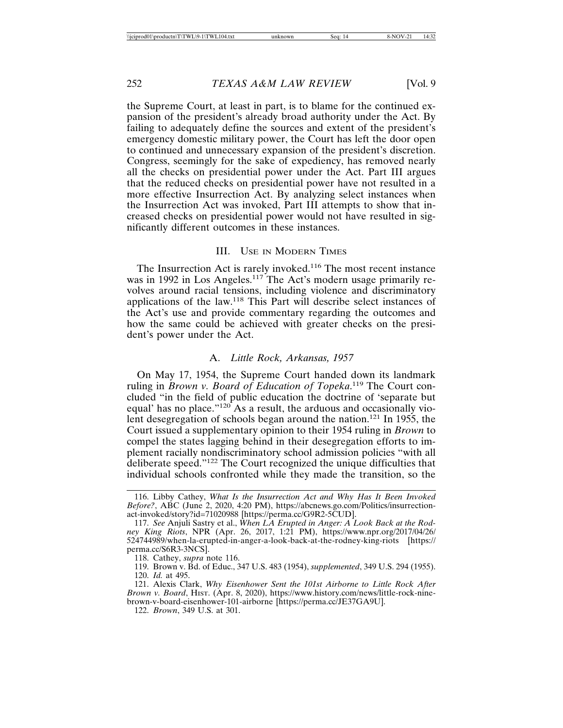the Supreme Court, at least in part, is to blame for the continued expansion of the president's already broad authority under the Act. By failing to adequately define the sources and extent of the president's emergency domestic military power, the Court has left the door open to continued and unnecessary expansion of the president's discretion. Congress, seemingly for the sake of expediency, has removed nearly all the checks on presidential power under the Act. Part III argues that the reduced checks on presidential power have not resulted in a more effective Insurrection Act. By analyzing select instances when the Insurrection Act was invoked, Part III attempts to show that increased checks on presidential power would not have resulted in significantly different outcomes in these instances.

### III. USE IN MODERN TIMES

The Insurrection Act is rarely invoked.<sup>116</sup> The most recent instance was in 1992 in Los Angeles.<sup>117</sup> The Act's modern usage primarily revolves around racial tensions, including violence and discriminatory applications of the law.118 This Part will describe select instances of the Act's use and provide commentary regarding the outcomes and how the same could be achieved with greater checks on the president's power under the Act.

# A. *Little Rock, Arkansas, 1957*

On May 17, 1954, the Supreme Court handed down its landmark ruling in *Brown v. Board of Education of Topeka*. 119 The Court concluded "in the field of public education the doctrine of 'separate but equal' has no place."<sup>120</sup> As a result, the arduous and occasionally violent desegregation of schools began around the nation.<sup>121</sup> In 1955, the Court issued a supplementary opinion to their 1954 ruling in *Brown* to compel the states lagging behind in their desegregation efforts to implement racially nondiscriminatory school admission policies "with all deliberate speed."122 The Court recognized the unique difficulties that individual schools confronted while they made the transition, so the

118. Cathey, *supra* note 116.

<sup>116.</sup> Libby Cathey, *What Is the Insurrection Act and Why Has It Been Invoked Before?*, ABC (June 2, 2020, 4:20 PM), https://abcnews.go.com/Politics/insurrectionact-invoked/story?id=71020988 [https://perma.cc/G9R2-5CUD].

<sup>117.</sup> *See* Anjuli Sastry et al., *When LA Erupted in Anger: A Look Back at the Rodney King Riots*, NPR (Apr. 26, 2017, 1:21 PM), https://www.npr.org/2017/04/26/ 524744989/when-la-erupted-in-anger-a-look-back-at-the-rodney-king-riots [https:// perma.cc/S6R3-3NCS].

<sup>119.</sup> Brown v. Bd. of Educ., 347 U.S. 483 (1954), *supplemented*, 349 U.S. 294 (1955). 120. *Id.* at 495.

<sup>121.</sup> Alexis Clark, *Why Eisenhower Sent the 101st Airborne to Little Rock After Brown v. Board*, HIST. (Apr. 8, 2020), https://www.history.com/news/little-rock-ninebrown-v-board-eisenhower-101-airborne [https://perma.cc/JE37GA9U].

<sup>122.</sup> *Brown*, 349 U.S. at 301.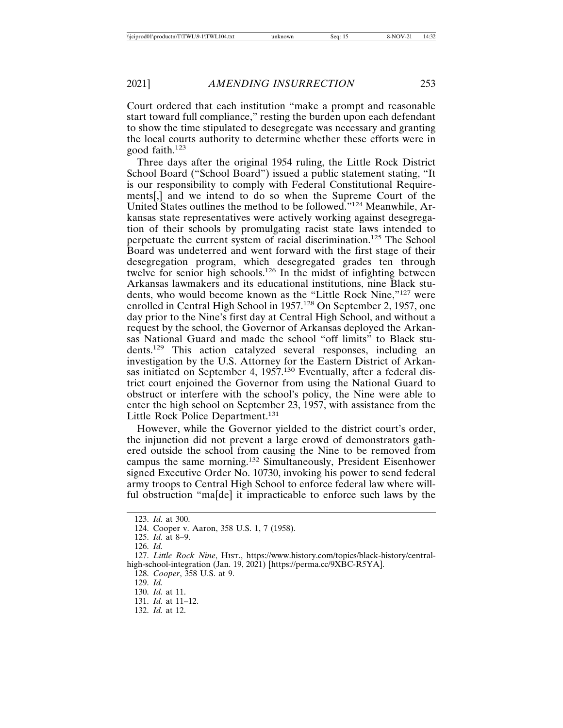Court ordered that each institution "make a prompt and reasonable start toward full compliance," resting the burden upon each defendant to show the time stipulated to desegregate was necessary and granting the local courts authority to determine whether these efforts were in good faith.<sup>123</sup>

Three days after the original 1954 ruling, the Little Rock District School Board ("School Board") issued a public statement stating, "It is our responsibility to comply with Federal Constitutional Requirements[,] and we intend to do so when the Supreme Court of the United States outlines the method to be followed."124 Meanwhile, Arkansas state representatives were actively working against desegregation of their schools by promulgating racist state laws intended to perpetuate the current system of racial discrimination.<sup>125</sup> The School Board was undeterred and went forward with the first stage of their desegregation program, which desegregated grades ten through twelve for senior high schools.<sup>126</sup> In the midst of infighting between Arkansas lawmakers and its educational institutions, nine Black students, who would become known as the "Little Rock Nine,"127 were enrolled in Central High School in 1957.<sup>128</sup> On September 2, 1957, one day prior to the Nine's first day at Central High School, and without a request by the school, the Governor of Arkansas deployed the Arkansas National Guard and made the school "off limits" to Black students.129 This action catalyzed several responses, including an investigation by the U.S. Attorney for the Eastern District of Arkansas initiated on September 4, 1957.<sup>130</sup> Eventually, after a federal district court enjoined the Governor from using the National Guard to obstruct or interfere with the school's policy, the Nine were able to enter the high school on September 23, 1957, with assistance from the Little Rock Police Department.<sup>131</sup>

However, while the Governor yielded to the district court's order, the injunction did not prevent a large crowd of demonstrators gathered outside the school from causing the Nine to be removed from campus the same morning.132 Simultaneously, President Eisenhower signed Executive Order No. 10730, invoking his power to send federal army troops to Central High School to enforce federal law where willful obstruction "ma[de] it impracticable to enforce such laws by the

128. *Cooper*, 358 U.S. at 9.

<sup>123.</sup> *Id.* at 300.

<sup>124.</sup> Cooper v. Aaron, 358 U.S. 1, 7 (1958).

<sup>125.</sup> *Id.* at 8–9.

<sup>126.</sup> *Id.*

<sup>127.</sup> *Little Rock Nine*, HIST., https://www.history.com/topics/black-history/centralhigh-school-integration (Jan. 19, 2021) [https://perma.cc/9XBC-R5YA].

<sup>129.</sup> *Id.*

<sup>130.</sup> *Id.* at 11.

<sup>131.</sup> *Id.* at 11–12.

<sup>132.</sup> *Id.* at 12.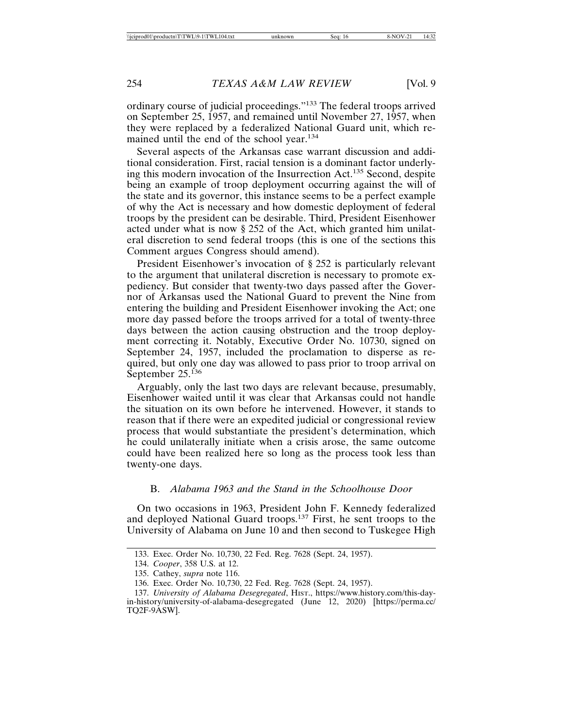ordinary course of judicial proceedings."133 The federal troops arrived on September 25, 1957, and remained until November 27, 1957, when they were replaced by a federalized National Guard unit, which remained until the end of the school year.<sup>134</sup>

Several aspects of the Arkansas case warrant discussion and additional consideration. First, racial tension is a dominant factor underlying this modern invocation of the Insurrection Act.135 Second, despite being an example of troop deployment occurring against the will of the state and its governor, this instance seems to be a perfect example of why the Act is necessary and how domestic deployment of federal troops by the president can be desirable. Third, President Eisenhower acted under what is now § 252 of the Act, which granted him unilateral discretion to send federal troops (this is one of the sections this Comment argues Congress should amend).

President Eisenhower's invocation of § 252 is particularly relevant to the argument that unilateral discretion is necessary to promote expediency. But consider that twenty-two days passed after the Governor of Arkansas used the National Guard to prevent the Nine from entering the building and President Eisenhower invoking the Act; one more day passed before the troops arrived for a total of twenty-three days between the action causing obstruction and the troop deployment correcting it. Notably, Executive Order No. 10730, signed on September 24, 1957, included the proclamation to disperse as required, but only one day was allowed to pass prior to troop arrival on September 25.<sup>136</sup>

Arguably, only the last two days are relevant because, presumably, Eisenhower waited until it was clear that Arkansas could not handle the situation on its own before he intervened. However, it stands to reason that if there were an expedited judicial or congressional review process that would substantiate the president's determination, which he could unilaterally initiate when a crisis arose, the same outcome could have been realized here so long as the process took less than twenty-one days.

# B. *Alabama 1963 and the Stand in the Schoolhouse Door*

On two occasions in 1963, President John F. Kennedy federalized and deployed National Guard troops.137 First, he sent troops to the University of Alabama on June 10 and then second to Tuskegee High

<sup>133.</sup> Exec. Order No. 10,730, 22 Fed. Reg. 7628 (Sept. 24, 1957).

<sup>134.</sup> *Cooper*, 358 U.S. at 12.

<sup>135.</sup> Cathey, *supra* note 116.

<sup>136.</sup> Exec. Order No. 10,730, 22 Fed. Reg. 7628 (Sept. 24, 1957).

<sup>137.</sup> *University of Alabama Desegregated*, HIST., https://www.history.com/this-dayin-history/university-of-alabama-desegregated (June 12, 2020) [https://perma.cc/ TQ2F-9ASW].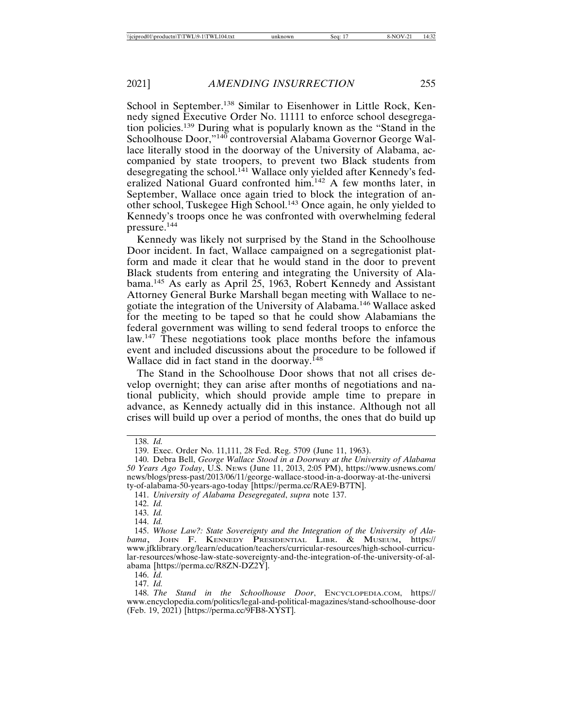School in September.<sup>138</sup> Similar to Eisenhower in Little Rock, Kennedy signed Executive Order No. 11111 to enforce school desegregation policies.139 During what is popularly known as the "Stand in the Schoolhouse Door,"<sup>140</sup> controversial Alabama Governor George Wallace literally stood in the doorway of the University of Alabama, accompanied by state troopers, to prevent two Black students from desegregating the school.<sup>141</sup> Wallace only yielded after Kennedy's federalized National Guard confronted him.142 A few months later, in September, Wallace once again tried to block the integration of another school, Tuskegee High School.143 Once again, he only yielded to Kennedy's troops once he was confronted with overwhelming federal pressure.144

Kennedy was likely not surprised by the Stand in the Schoolhouse Door incident. In fact, Wallace campaigned on a segregationist platform and made it clear that he would stand in the door to prevent Black students from entering and integrating the University of Alabama.145 As early as April 25, 1963, Robert Kennedy and Assistant Attorney General Burke Marshall began meeting with Wallace to negotiate the integration of the University of Alabama.146 Wallace asked for the meeting to be taped so that he could show Alabamians the federal government was willing to send federal troops to enforce the law.<sup>147</sup> These negotiations took place months before the infamous event and included discussions about the procedure to be followed if Wallace did in fact stand in the doorway.<sup>148</sup>

The Stand in the Schoolhouse Door shows that not all crises develop overnight; they can arise after months of negotiations and national publicity, which should provide ample time to prepare in advance, as Kennedy actually did in this instance. Although not all crises will build up over a period of months, the ones that do build up

<sup>138.</sup> *Id.*

<sup>139.</sup> Exec. Order No. 11,111, 28 Fed. Reg. 5709 (June 11, 1963).

<sup>140.</sup> Debra Bell, *George Wallace Stood in a Doorway at the University of Alabama 50 Years Ago Today*, U.S. NEWS (June 11, 2013, 2:05 PM), https://www.usnews.com/ news/blogs/press-past/2013/06/11/george-wallace-stood-in-a-doorway-at-the-universi ty-of-alabama-50-years-ago-today [https://perma.cc/RAE9-B7TN].

<sup>141.</sup> *University of Alabama Desegregated*, *supra* note 137.

<sup>142.</sup> *Id.*

<sup>143.</sup> *Id.*

<sup>144.</sup> *Id.*

<sup>145.</sup> *Whose Law?: State Sovereignty and the Integration of the University of Alabama*, JOHN F. KENNEDY PRESIDENTIAL LIBR. & MUSEUM, https:// www.jfklibrary.org/learn/education/teachers/curricular-resources/high-school-curricular-resources/whose-law-state-sovereignty-and-the-integration-of-the-university-of-alabama [https://perma.cc/R8ZN-DZ2Y].

<sup>146.</sup> *Id.*

<sup>147.</sup> *Id.*

<sup>148.</sup> *The Stand in the Schoolhouse Door*, ENCYCLOPEDIA.COM, https:// www.encyclopedia.com/politics/legal-and-political-magazines/stand-schoolhouse-door (Feb. 19, 2021) [https://perma.cc/9FB8-XYST].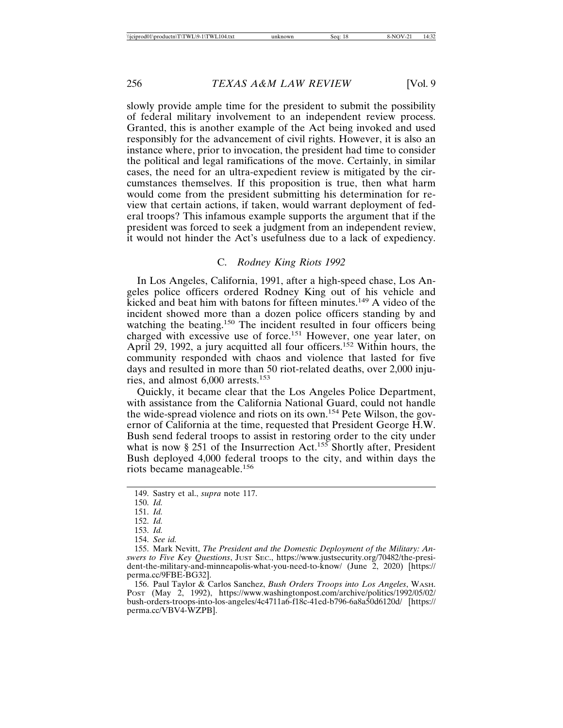slowly provide ample time for the president to submit the possibility of federal military involvement to an independent review process. Granted, this is another example of the Act being invoked and used responsibly for the advancement of civil rights. However, it is also an instance where, prior to invocation, the president had time to consider the political and legal ramifications of the move. Certainly, in similar cases, the need for an ultra-expedient review is mitigated by the circumstances themselves. If this proposition is true, then what harm would come from the president submitting his determination for review that certain actions, if taken, would warrant deployment of federal troops? This infamous example supports the argument that if the president was forced to seek a judgment from an independent review, it would not hinder the Act's usefulness due to a lack of expediency.

## C. *Rodney King Riots 1992*

In Los Angeles, California, 1991, after a high-speed chase, Los Angeles police officers ordered Rodney King out of his vehicle and kicked and beat him with batons for fifteen minutes.149 A video of the incident showed more than a dozen police officers standing by and watching the beating.<sup>150</sup> The incident resulted in four officers being charged with excessive use of force.151 However, one year later, on April 29, 1992, a jury acquitted all four officers.<sup>152</sup> Within hours, the community responded with chaos and violence that lasted for five days and resulted in more than 50 riot-related deaths, over 2,000 injuries, and almost 6,000 arrests.<sup>153</sup>

Quickly, it became clear that the Los Angeles Police Department, with assistance from the California National Guard, could not handle the wide-spread violence and riots on its own.154 Pete Wilson, the governor of California at the time, requested that President George H.W. Bush send federal troops to assist in restoring order to the city under what is now § 251 of the Insurrection Act.<sup>155</sup> Shortly after, President Bush deployed 4,000 federal troops to the city, and within days the riots became manageable.<sup>156</sup>

<sup>149.</sup> Sastry et al., *supra* note 117.

<sup>150.</sup> *Id.*

<sup>151.</sup> *Id.*

<sup>152.</sup> *Id.*

<sup>153.</sup> *Id.*

<sup>154.</sup> *See id.*

<sup>155.</sup> Mark Nevitt, *The President and the Domestic Deployment of the Military: Answers to Five Key Questions*, JUST SEC., https://www.justsecurity.org/70482/the-president-the-military-and-minneapolis-what-you-need-to-know/ (June 2, 2020) [https:// perma.cc/9FBE-BG32].

<sup>156.</sup> Paul Taylor & Carlos Sanchez, *Bush Orders Troops into Los Angeles*, WASH. Post (May 2, 1992), https://www.washingtonpost.com/archive/politics/1992/05/02/ bush-orders-troops-into-los-angeles/4c4711a6-f18c-41ed-b796-6a8a50d6120d/ [https:// perma.cc/VBV4-WZPB].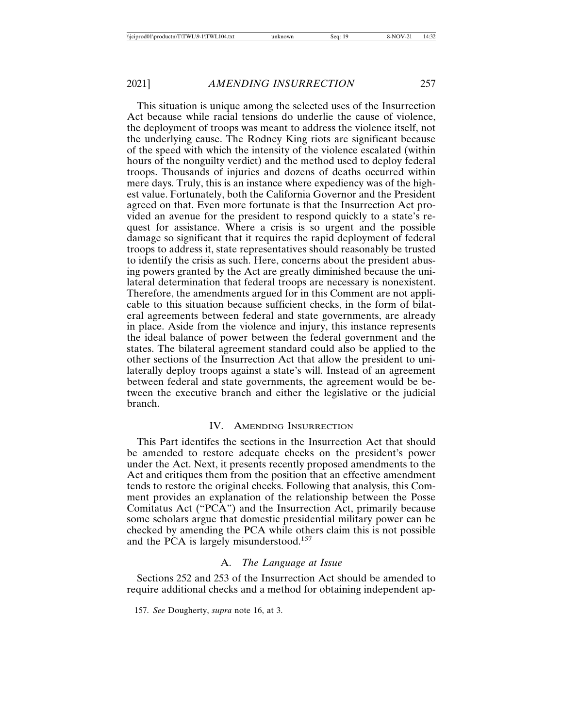This situation is unique among the selected uses of the Insurrection Act because while racial tensions do underlie the cause of violence, the deployment of troops was meant to address the violence itself, not the underlying cause. The Rodney King riots are significant because of the speed with which the intensity of the violence escalated (within hours of the nonguilty verdict) and the method used to deploy federal troops. Thousands of injuries and dozens of deaths occurred within mere days. Truly, this is an instance where expediency was of the highest value. Fortunately, both the California Governor and the President agreed on that. Even more fortunate is that the Insurrection Act provided an avenue for the president to respond quickly to a state's request for assistance. Where a crisis is so urgent and the possible damage so significant that it requires the rapid deployment of federal troops to address it, state representatives should reasonably be trusted to identify the crisis as such. Here, concerns about the president abusing powers granted by the Act are greatly diminished because the unilateral determination that federal troops are necessary is nonexistent. Therefore, the amendments argued for in this Comment are not applicable to this situation because sufficient checks, in the form of bilateral agreements between federal and state governments, are already in place. Aside from the violence and injury, this instance represents the ideal balance of power between the federal government and the states. The bilateral agreement standard could also be applied to the other sections of the Insurrection Act that allow the president to unilaterally deploy troops against a state's will. Instead of an agreement between federal and state governments, the agreement would be between the executive branch and either the legislative or the judicial branch.

# IV. AMENDING INSURRECTION

This Part identifes the sections in the Insurrection Act that should be amended to restore adequate checks on the president's power under the Act. Next, it presents recently proposed amendments to the Act and critiques them from the position that an effective amendment tends to restore the original checks. Following that analysis, this Comment provides an explanation of the relationship between the Posse Comitatus Act ("PCA") and the Insurrection Act, primarily because some scholars argue that domestic presidential military power can be checked by amending the PCA while others claim this is not possible and the PCA is largely misunderstood.<sup>157</sup>

# A. *The Language at Issue*

Sections 252 and 253 of the Insurrection Act should be amended to require additional checks and a method for obtaining independent ap-

<sup>157.</sup> *See* Dougherty, *supra* note 16, at 3.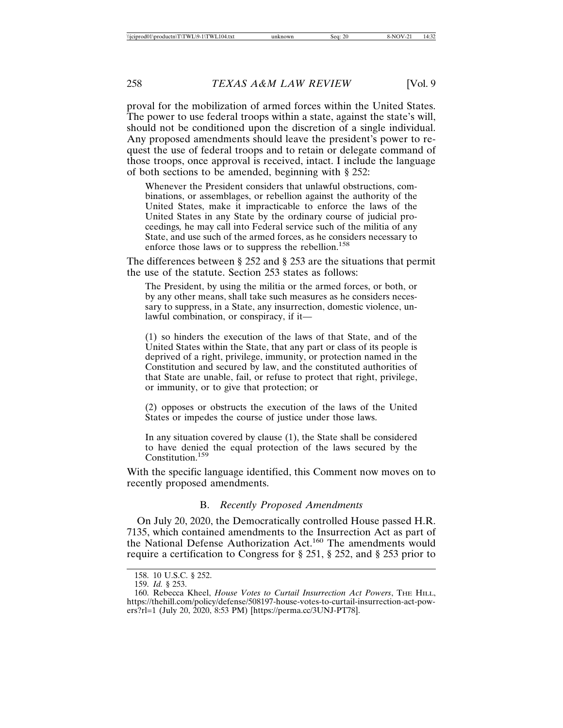proval for the mobilization of armed forces within the United States. The power to use federal troops within a state, against the state's will, should not be conditioned upon the discretion of a single individual. Any proposed amendments should leave the president's power to request the use of federal troops and to retain or delegate command of those troops, once approval is received, intact. I include the language of both sections to be amended, beginning with § 252:

Whenever the President considers that unlawful obstructions, combinations, or assemblages, or rebellion against the authority of the United States, make it impracticable to enforce the laws of the United States in any State by the ordinary course of judicial proceedings*,* he may call into Federal service such of the militia of any State, and use such of the armed forces, as he considers necessary to enforce those laws or to suppress the rebellion.<sup>158</sup>

The differences between § 252 and § 253 are the situations that permit the use of the statute. Section 253 states as follows:

The President, by using the militia or the armed forces, or both, or by any other means, shall take such measures as he considers necessary to suppress, in a State, any insurrection, domestic violence, unlawful combination, or conspiracy, if it—

(1) so hinders the execution of the laws of that State, and of the United States within the State, that any part or class of its people is deprived of a right, privilege, immunity, or protection named in the Constitution and secured by law, and the constituted authorities of that State are unable, fail, or refuse to protect that right, privilege, or immunity, or to give that protection; or

(2) opposes or obstructs the execution of the laws of the United States or impedes the course of justice under those laws.

In any situation covered by clause (1), the State shall be considered to have denied the equal protection of the laws secured by the Constitution<sup>159</sup>

With the specific language identified, this Comment now moves on to recently proposed amendments.

# B. *Recently Proposed Amendments*

On July 20, 2020, the Democratically controlled House passed H.R. 7135, which contained amendments to the Insurrection Act as part of the National Defense Authorization Act.<sup>160</sup> The amendments would require a certification to Congress for § 251, § 252, and § 253 prior to

<sup>158. 10</sup> U.S.C. § 252.

<sup>159.</sup> *Id.* § 253.

<sup>160.</sup> Rebecca Kheel, *House Votes to Curtail Insurrection Act Powers*, THE HILL, https://thehill.com/policy/defense/508197-house-votes-to-curtail-insurrection-act-powers?rl=1 (July 20, 2020, 8:53 PM) [https://perma.cc/3UNJ-PT78].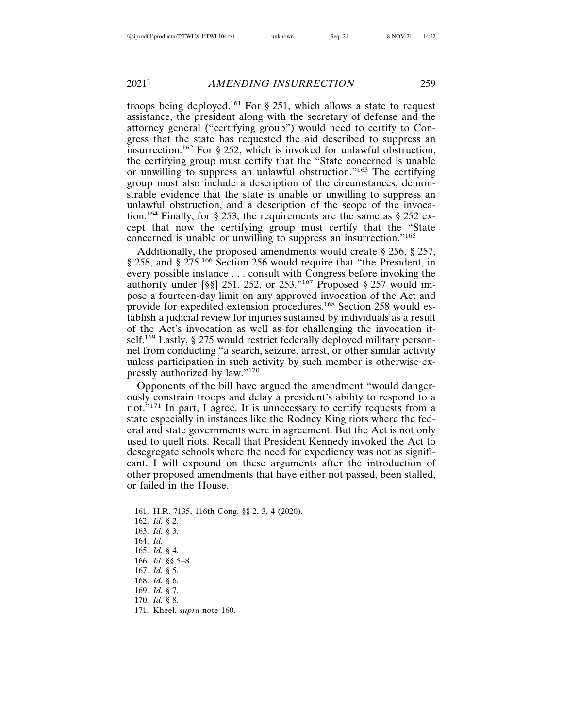troops being deployed.<sup>161</sup> For  $\S$  251, which allows a state to request assistance, the president along with the secretary of defense and the attorney general ("certifying group") would need to certify to Congress that the state has requested the aid described to suppress an insurrection.162 For § 252, which is invoked for unlawful obstruction, the certifying group must certify that the "State concerned is unable or unwilling to suppress an unlawful obstruction."163 The certifying group must also include a description of the circumstances, demonstrable evidence that the state is unable or unwilling to suppress an unlawful obstruction, and a description of the scope of the invocation.164 Finally, for § 253, the requirements are the same as § 252 except that now the certifying group must certify that the "State concerned is unable or unwilling to suppress an insurrection."<sup>165</sup>

Additionally, the proposed amendments would create § 256, § 257, § 258, and § 275.<sup>166</sup> Section 256 would require that "the President, in every possible instance . . . consult with Congress before invoking the authority under [§§] 251, 252, or 253."167 Proposed § 257 would impose a fourteen-day limit on any approved invocation of the Act and provide for expedited extension procedures.<sup>168</sup> Section 258 would establish a judicial review for injuries sustained by individuals as a result of the Act's invocation as well as for challenging the invocation itself.<sup>169</sup> Lastly, § 275 would restrict federally deployed military personnel from conducting "a search, seizure, arrest, or other similar activity unless participation in such activity by such member is otherwise expressly authorized by law."<sup>170</sup>

Opponents of the bill have argued the amendment "would dangerously constrain troops and delay a president's ability to respond to a riot."171 In part, I agree. It is unnecessary to certify requests from a state especially in instances like the Rodney King riots where the federal and state governments were in agreement. But the Act is not only used to quell riots. Recall that President Kennedy invoked the Act to desegregate schools where the need for expediency was not as significant. I will expound on these arguments after the introduction of other proposed amendments that have either not passed, been stalled, or failed in the House.

161. H.R. 7135, 116th Cong. §§ 2, 3, 4 (2020). 162. *Id.* § 2. 163. *Id.* § 3. 164. *Id.* 165. *Id.* § 4. 166. *Id.* §§ 5–8. 167. *Id.* § 5. 168. *Id.* § 6. 169. *Id.* § 7. 170. *Id.* § 8. 171. Kheel, *supra* note 160.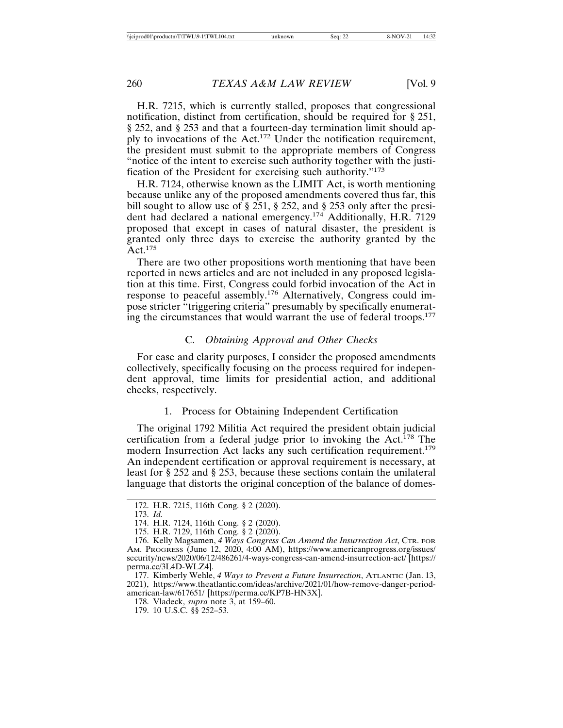H.R. 7215, which is currently stalled, proposes that congressional notification, distinct from certification, should be required for § 251, § 252, and § 253 and that a fourteen-day termination limit should apply to invocations of the Act.172 Under the notification requirement, the president must submit to the appropriate members of Congress "notice of the intent to exercise such authority together with the justification of the President for exercising such authority."<sup>173</sup>

H.R. 7124, otherwise known as the LIMIT Act, is worth mentioning because unlike any of the proposed amendments covered thus far, this bill sought to allow use of § 251, § 252, and § 253 only after the president had declared a national emergency.174 Additionally, H.R. 7129 proposed that except in cases of natural disaster, the president is granted only three days to exercise the authority granted by the  $Act.$ <sup>175</sup>

There are two other propositions worth mentioning that have been reported in news articles and are not included in any proposed legislation at this time. First, Congress could forbid invocation of the Act in response to peaceful assembly.176 Alternatively, Congress could impose stricter "triggering criteria" presumably by specifically enumerating the circumstances that would warrant the use of federal troops.<sup>177</sup>

# C. *Obtaining Approval and Other Checks*

For ease and clarity purposes, I consider the proposed amendments collectively, specifically focusing on the process required for independent approval, time limits for presidential action, and additional checks, respectively.

# 1. Process for Obtaining Independent Certification

The original 1792 Militia Act required the president obtain judicial certification from a federal judge prior to invoking the Act.<sup>178</sup> The modern Insurrection Act lacks any such certification requirement.<sup>179</sup> An independent certification or approval requirement is necessary, at least for § 252 and § 253, because these sections contain the unilateral language that distorts the original conception of the balance of domes-

<sup>172.</sup> H.R. 7215, 116th Cong. § 2 (2020).

<sup>173.</sup> *Id.*

<sup>174.</sup> H.R. 7124, 116th Cong. § 2 (2020).

<sup>175.</sup> H.R. 7129, 116th Cong. § 2 (2020).

<sup>176.</sup> Kelly Magsamen, *4 Ways Congress Can Amend the Insurrection Act*, CTR. FOR AM. PROGRESS (June 12, 2020, 4:00 AM), https://www.americanprogress.org/issues/ security/news/2020/06/12/486261/4-ways-congress-can-amend-insurrection-act/ [https:// perma.cc/3L4D-WLZ4].

<sup>177.</sup> Kimberly Wehle, *4 Ways to Prevent a Future Insurrection*, ATLANTIC (Jan. 13, 2021), https://www.theatlantic.com/ideas/archive/2021/01/how-remove-danger-periodamerican-law/617651/ [https://perma.cc/KP7B-HN3X].

<sup>178.</sup> Vladeck, *supra* note 3, at 159–60.

<sup>179. 10</sup> U.S.C. §§ 252–53.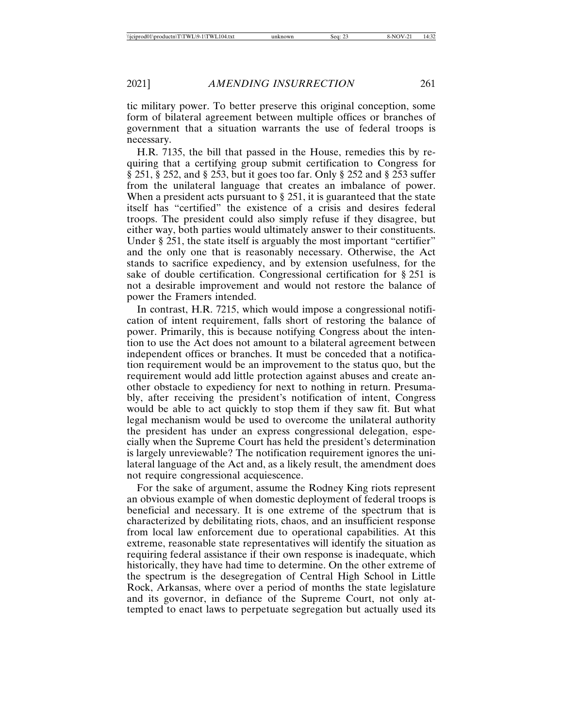tic military power. To better preserve this original conception, some form of bilateral agreement between multiple offices or branches of government that a situation warrants the use of federal troops is necessary.

H.R. 7135, the bill that passed in the House, remedies this by requiring that a certifying group submit certification to Congress for § 251, § 252, and § 253, but it goes too far. Only § 252 and § 253 suffer from the unilateral language that creates an imbalance of power. When a president acts pursuant to § 251, it is guaranteed that the state itself has "certified" the existence of a crisis and desires federal troops. The president could also simply refuse if they disagree, but either way, both parties would ultimately answer to their constituents. Under § 251, the state itself is arguably the most important "certifier" and the only one that is reasonably necessary. Otherwise, the Act stands to sacrifice expediency, and by extension usefulness, for the sake of double certification. Congressional certification for § 251 is not a desirable improvement and would not restore the balance of power the Framers intended.

In contrast, H.R. 7215, which would impose a congressional notification of intent requirement, falls short of restoring the balance of power. Primarily, this is because notifying Congress about the intention to use the Act does not amount to a bilateral agreement between independent offices or branches. It must be conceded that a notification requirement would be an improvement to the status quo, but the requirement would add little protection against abuses and create another obstacle to expediency for next to nothing in return. Presumably, after receiving the president's notification of intent, Congress would be able to act quickly to stop them if they saw fit. But what legal mechanism would be used to overcome the unilateral authority the president has under an express congressional delegation, especially when the Supreme Court has held the president's determination is largely unreviewable? The notification requirement ignores the unilateral language of the Act and, as a likely result, the amendment does not require congressional acquiescence.

For the sake of argument, assume the Rodney King riots represent an obvious example of when domestic deployment of federal troops is beneficial and necessary. It is one extreme of the spectrum that is characterized by debilitating riots, chaos, and an insufficient response from local law enforcement due to operational capabilities. At this extreme, reasonable state representatives will identify the situation as requiring federal assistance if their own response is inadequate, which historically, they have had time to determine. On the other extreme of the spectrum is the desegregation of Central High School in Little Rock, Arkansas, where over a period of months the state legislature and its governor, in defiance of the Supreme Court, not only attempted to enact laws to perpetuate segregation but actually used its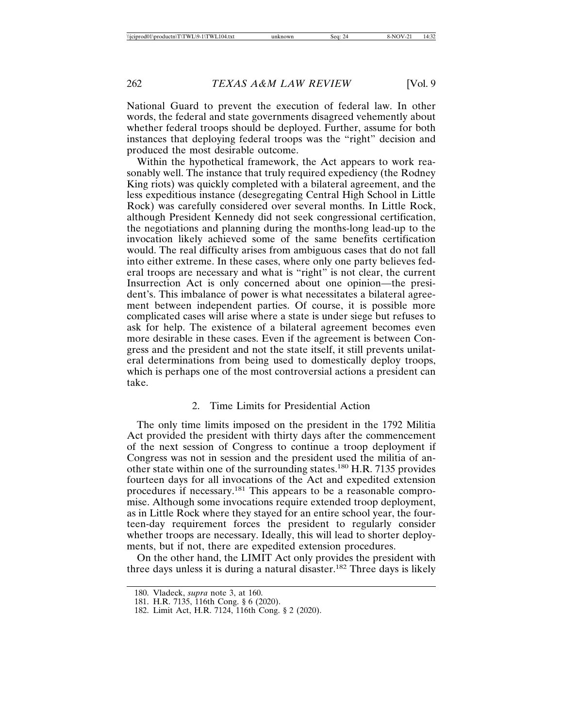National Guard to prevent the execution of federal law. In other words, the federal and state governments disagreed vehemently about whether federal troops should be deployed. Further, assume for both instances that deploying federal troops was the "right" decision and produced the most desirable outcome.

Within the hypothetical framework, the Act appears to work reasonably well. The instance that truly required expediency (the Rodney King riots) was quickly completed with a bilateral agreement, and the less expeditious instance (desegregating Central High School in Little Rock) was carefully considered over several months. In Little Rock, although President Kennedy did not seek congressional certification, the negotiations and planning during the months-long lead-up to the invocation likely achieved some of the same benefits certification would. The real difficulty arises from ambiguous cases that do not fall into either extreme. In these cases, where only one party believes federal troops are necessary and what is "right" is not clear, the current Insurrection Act is only concerned about one opinion—the president's. This imbalance of power is what necessitates a bilateral agreement between independent parties. Of course, it is possible more complicated cases will arise where a state is under siege but refuses to ask for help. The existence of a bilateral agreement becomes even more desirable in these cases. Even if the agreement is between Congress and the president and not the state itself, it still prevents unilateral determinations from being used to domestically deploy troops, which is perhaps one of the most controversial actions a president can take.

## 2. Time Limits for Presidential Action

The only time limits imposed on the president in the 1792 Militia Act provided the president with thirty days after the commencement of the next session of Congress to continue a troop deployment if Congress was not in session and the president used the militia of another state within one of the surrounding states.180 H.R. 7135 provides fourteen days for all invocations of the Act and expedited extension procedures if necessary.181 This appears to be a reasonable compromise. Although some invocations require extended troop deployment, as in Little Rock where they stayed for an entire school year, the fourteen-day requirement forces the president to regularly consider whether troops are necessary. Ideally, this will lead to shorter deployments, but if not, there are expedited extension procedures.

On the other hand, the LIMIT Act only provides the president with three days unless it is during a natural disaster.<sup>182</sup> Three days is likely

<sup>180.</sup> Vladeck, *supra* note 3, at 160.

<sup>181.</sup> H.R. 7135, 116th Cong. § 6 (2020).

<sup>182.</sup> Limit Act, H.R. 7124, 116th Cong. § 2 (2020).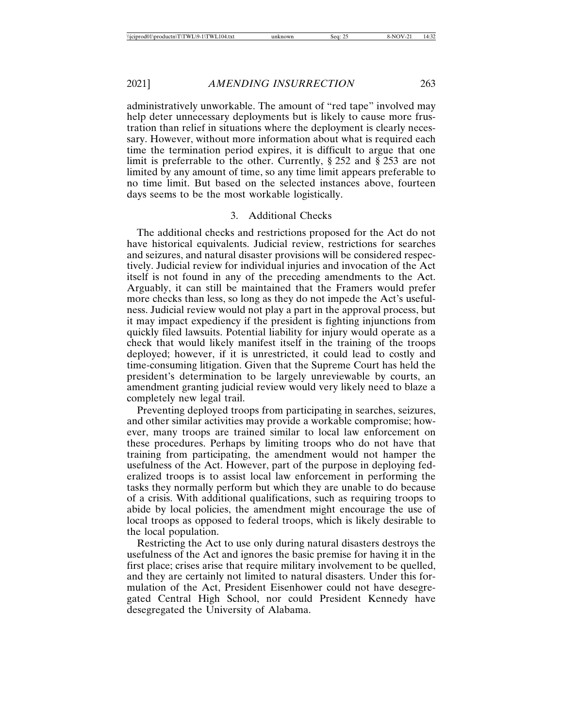administratively unworkable. The amount of "red tape" involved may help deter unnecessary deployments but is likely to cause more frustration than relief in situations where the deployment is clearly necessary. However, without more information about what is required each time the termination period expires, it is difficult to argue that one limit is preferrable to the other. Currently, § 252 and § 253 are not limited by any amount of time, so any time limit appears preferable to no time limit. But based on the selected instances above, fourteen days seems to be the most workable logistically.

#### 3. Additional Checks

The additional checks and restrictions proposed for the Act do not have historical equivalents. Judicial review, restrictions for searches and seizures, and natural disaster provisions will be considered respectively. Judicial review for individual injuries and invocation of the Act itself is not found in any of the preceding amendments to the Act. Arguably, it can still be maintained that the Framers would prefer more checks than less, so long as they do not impede the Act's usefulness. Judicial review would not play a part in the approval process, but it may impact expediency if the president is fighting injunctions from quickly filed lawsuits. Potential liability for injury would operate as a check that would likely manifest itself in the training of the troops deployed; however, if it is unrestricted, it could lead to costly and time-consuming litigation. Given that the Supreme Court has held the president's determination to be largely unreviewable by courts, an amendment granting judicial review would very likely need to blaze a completely new legal trail.

Preventing deployed troops from participating in searches, seizures, and other similar activities may provide a workable compromise; however, many troops are trained similar to local law enforcement on these procedures. Perhaps by limiting troops who do not have that training from participating, the amendment would not hamper the usefulness of the Act. However, part of the purpose in deploying federalized troops is to assist local law enforcement in performing the tasks they normally perform but which they are unable to do because of a crisis. With additional qualifications, such as requiring troops to abide by local policies, the amendment might encourage the use of local troops as opposed to federal troops, which is likely desirable to the local population.

Restricting the Act to use only during natural disasters destroys the usefulness of the Act and ignores the basic premise for having it in the first place; crises arise that require military involvement to be quelled, and they are certainly not limited to natural disasters. Under this formulation of the Act, President Eisenhower could not have desegregated Central High School, nor could President Kennedy have desegregated the University of Alabama.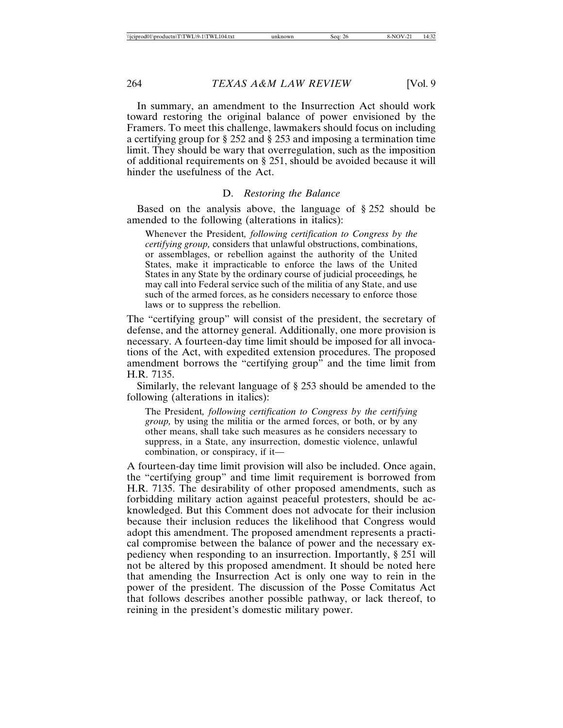In summary, an amendment to the Insurrection Act should work toward restoring the original balance of power envisioned by the Framers. To meet this challenge, lawmakers should focus on including a certifying group for § 252 and § 253 and imposing a termination time limit. They should be wary that overregulation, such as the imposition of additional requirements on § 251, should be avoided because it will hinder the usefulness of the Act.

#### D. *Restoring the Balance*

Based on the analysis above, the language of § 252 should be amended to the following (alterations in italics):

Whenever the President*, following certification to Congress by the certifying group,* considers that unlawful obstructions, combinations, or assemblages, or rebellion against the authority of the United States, make it impracticable to enforce the laws of the United States in any State by the ordinary course of judicial proceedings*,* he may call into Federal service such of the militia of any State, and use such of the armed forces, as he considers necessary to enforce those laws or to suppress the rebellion.

The "certifying group" will consist of the president, the secretary of defense, and the attorney general. Additionally, one more provision is necessary. A fourteen-day time limit should be imposed for all invocations of the Act, with expedited extension procedures. The proposed amendment borrows the "certifying group" and the time limit from H.R. 7135.

Similarly, the relevant language of § 253 should be amended to the following (alterations in italics):

The President*, following certification to Congress by the certifying group,* by using the militia or the armed forces, or both, or by any other means, shall take such measures as he considers necessary to suppress, in a State, any insurrection, domestic violence, unlawful combination, or conspiracy, if it—

A fourteen-day time limit provision will also be included. Once again, the "certifying group" and time limit requirement is borrowed from H.R. 7135. The desirability of other proposed amendments, such as forbidding military action against peaceful protesters, should be acknowledged. But this Comment does not advocate for their inclusion because their inclusion reduces the likelihood that Congress would adopt this amendment. The proposed amendment represents a practical compromise between the balance of power and the necessary expediency when responding to an insurrection. Importantly, § 251 will not be altered by this proposed amendment. It should be noted here that amending the Insurrection Act is only one way to rein in the power of the president. The discussion of the Posse Comitatus Act that follows describes another possible pathway, or lack thereof, to reining in the president's domestic military power.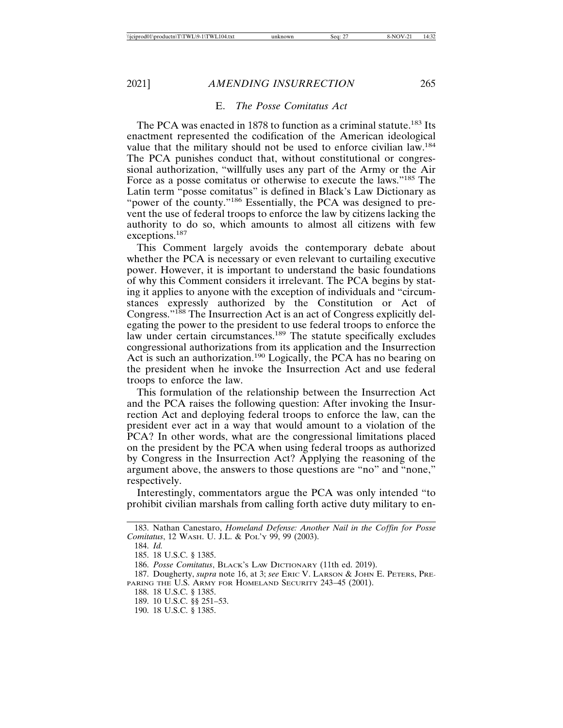# E. *The Posse Comitatus Act*

The PCA was enacted in 1878 to function as a criminal statute.<sup>183</sup> Its enactment represented the codification of the American ideological value that the military should not be used to enforce civilian law.184 The PCA punishes conduct that, without constitutional or congressional authorization, "willfully uses any part of the Army or the Air Force as a posse comitatus or otherwise to execute the laws."185 The Latin term "posse comitatus" is defined in Black's Law Dictionary as "power of the county."<sup>186</sup> Essentially, the PCA was designed to prevent the use of federal troops to enforce the law by citizens lacking the authority to do so, which amounts to almost all citizens with few exceptions.187

This Comment largely avoids the contemporary debate about whether the PCA is necessary or even relevant to curtailing executive power. However, it is important to understand the basic foundations of why this Comment considers it irrelevant. The PCA begins by stating it applies to anyone with the exception of individuals and "circumstances expressly authorized by the Constitution or Act of Congress."188 The Insurrection Act is an act of Congress explicitly delegating the power to the president to use federal troops to enforce the law under certain circumstances.<sup>189</sup> The statute specifically excludes congressional authorizations from its application and the Insurrection Act is such an authorization.<sup>190</sup> Logically, the PCA has no bearing on the president when he invoke the Insurrection Act and use federal troops to enforce the law.

This formulation of the relationship between the Insurrection Act and the PCA raises the following question: After invoking the Insurrection Act and deploying federal troops to enforce the law, can the president ever act in a way that would amount to a violation of the PCA? In other words, what are the congressional limitations placed on the president by the PCA when using federal troops as authorized by Congress in the Insurrection Act? Applying the reasoning of the argument above, the answers to those questions are "no" and "none," respectively.

Interestingly, commentators argue the PCA was only intended "to prohibit civilian marshals from calling forth active duty military to en-

<sup>183.</sup> Nathan Canestaro, *Homeland Defense: Another Nail in the Coffin for Posse Comitatus*, 12 WASH. U. J.L. & POL'Y 99, 99 (2003).

<sup>184.</sup> *Id.*

<sup>185. 18</sup> U.S.C. § 1385.

<sup>186.</sup> *Posse Comitatus*, BLACK'S LAW DICTIONARY (11th ed. 2019).

<sup>187.</sup> Dougherty, *supra* note 16, at 3; *see* ERIC V. LARSON & JOHN E. PETERS, PRE-PARING THE U.S. ARMY FOR HOMELAND SECURITY 243-45 (2001).

<sup>188. 18</sup> U.S.C. § 1385.

<sup>189. 10</sup> U.S.C. §§ 251–53.

<sup>190. 18</sup> U.S.C. § 1385.